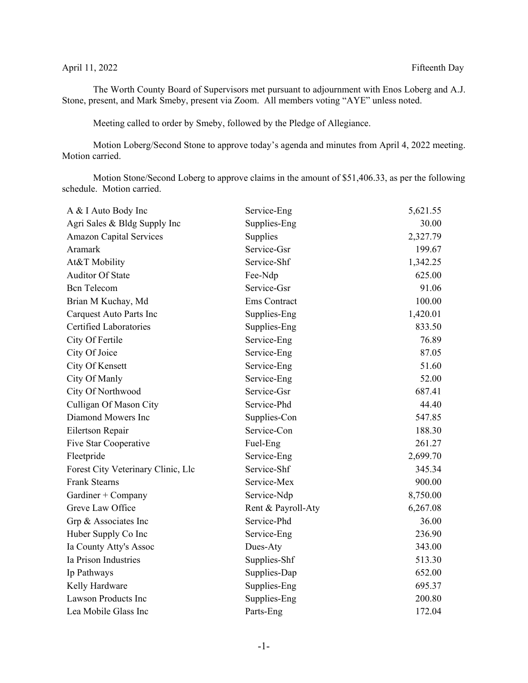## April 11, 2022 Fifteenth Day

The Worth County Board of Supervisors met pursuant to adjournment with Enos Loberg and A.J. Stone, present, and Mark Smeby, present via Zoom. All members voting "AYE" unless noted.

Meeting called to order by Smeby, followed by the Pledge of Allegiance.

Motion Loberg/Second Stone to approve today's agenda and minutes from April 4, 2022 meeting. Motion carried.

Motion Stone/Second Loberg to approve claims in the amount of \$51,406.33, as per the following schedule. Motion carried.

| A & I Auto Body Inc                | Service-Eng        | 5,621.55 |
|------------------------------------|--------------------|----------|
| Agri Sales & Bldg Supply Inc       | Supplies-Eng       | 30.00    |
| <b>Amazon Capital Services</b>     | Supplies           | 2,327.79 |
| Aramark                            | Service-Gsr        | 199.67   |
| At&T Mobility                      | Service-Shf        | 1,342.25 |
| <b>Auditor Of State</b>            | Fee-Ndp            | 625.00   |
| <b>Bcn</b> Telecom                 | Service-Gsr        | 91.06    |
| Brian M Kuchay, Md                 | Ems Contract       | 100.00   |
| Carquest Auto Parts Inc            | Supplies-Eng       | 1,420.01 |
| <b>Certified Laboratories</b>      | Supplies-Eng       | 833.50   |
| City Of Fertile                    | Service-Eng        | 76.89    |
| City Of Joice                      | Service-Eng        | 87.05    |
| City Of Kensett                    | Service-Eng        | 51.60    |
| City Of Manly                      | Service-Eng        | 52.00    |
| City Of Northwood                  | Service-Gsr        | 687.41   |
| Culligan Of Mason City             | Service-Phd        | 44.40    |
| Diamond Mowers Inc                 | Supplies-Con       | 547.85   |
| Eilertson Repair                   | Service-Con        | 188.30   |
| Five Star Cooperative              | Fuel-Eng           | 261.27   |
| Fleetpride                         | Service-Eng        | 2,699.70 |
| Forest City Veterinary Clinic, Llc | Service-Shf        | 345.34   |
| <b>Frank Stearns</b>               | Service-Mex        | 900.00   |
| Gardiner + Company                 | Service-Ndp        | 8,750.00 |
| Greve Law Office                   | Rent & Payroll-Aty | 6,267.08 |
| Grp & Associates Inc               | Service-Phd        | 36.00    |
| Huber Supply Co Inc                | Service-Eng        | 236.90   |
| Ia County Atty's Assoc             | Dues-Aty           | 343.00   |
| Ia Prison Industries               | Supplies-Shf       | 513.30   |
| Ip Pathways                        | Supplies-Dap       | 652.00   |
| Kelly Hardware                     | Supplies-Eng       | 695.37   |
| Lawson Products Inc                | Supplies-Eng       | 200.80   |
| Lea Mobile Glass Inc               | Parts-Eng          | 172.04   |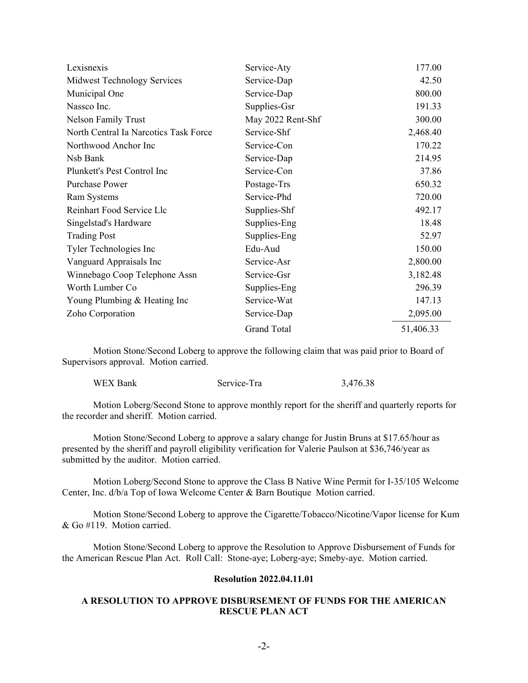| Lexisnexis                            | Service-Aty        | 177.00    |
|---------------------------------------|--------------------|-----------|
| <b>Midwest Technology Services</b>    | Service-Dap        | 42.50     |
| Municipal One                         | Service-Dap        | 800.00    |
| Nassco Inc.                           | Supplies-Gsr       | 191.33    |
| <b>Nelson Family Trust</b>            | May 2022 Rent-Shf  | 300.00    |
| North Central Ia Narcotics Task Force | Service-Shf        | 2,468.40  |
| Northwood Anchor Inc                  | Service-Con        | 170.22    |
| Nsb Bank                              | Service-Dap        | 214.95    |
| Plunkett's Pest Control Inc           | Service-Con        | 37.86     |
| <b>Purchase Power</b>                 | Postage-Trs        | 650.32    |
| Ram Systems                           | Service-Phd        | 720.00    |
| Reinhart Food Service Llc             | Supplies-Shf       | 492.17    |
| Singelstad's Hardware                 | Supplies-Eng       | 18.48     |
| <b>Trading Post</b>                   | Supplies-Eng       | 52.97     |
| Tyler Technologies Inc                | Edu-Aud            | 150.00    |
| Vanguard Appraisals Inc               | Service-Asr        | 2,800.00  |
| Winnebago Coop Telephone Assn         | Service-Gsr        | 3,182.48  |
| Worth Lumber Co                       | Supplies-Eng       | 296.39    |
| Young Plumbing & Heating Inc          | Service-Wat        | 147.13    |
| Zoho Corporation                      | Service-Dap        | 2,095.00  |
|                                       | <b>Grand Total</b> | 51,406.33 |

Motion Stone/Second Loberg to approve the following claim that was paid prior to Board of Supervisors approval. Motion carried.

| <b>WEX Bank</b> | Service-Tra | 3,476.38 |
|-----------------|-------------|----------|
|-----------------|-------------|----------|

Motion Loberg/Second Stone to approve monthly report for the sheriff and quarterly reports for the recorder and sheriff. Motion carried.

Motion Stone/Second Loberg to approve a salary change for Justin Bruns at \$17.65/hour as presented by the sheriff and payroll eligibility verification for Valerie Paulson at \$36,746/year as submitted by the auditor. Motion carried.

Motion Loberg/Second Stone to approve the Class B Native Wine Permit for I-35/105 Welcome Center, Inc. d/b/a Top of Iowa Welcome Center & Barn Boutique Motion carried.

Motion Stone/Second Loberg to approve the Cigarette/Tobacco/Nicotine/Vapor license for Kum & Go #119. Motion carried.

Motion Stone/Second Loberg to approve the Resolution to Approve Disbursement of Funds for the American Rescue Plan Act. Roll Call: Stone-aye; Loberg-aye; Smeby-aye. Motion carried.

## **Resolution 2022.04.11.01**

## **A RESOLUTION TO APPROVE DISBURSEMENT OF FUNDS FOR THE AMERICAN RESCUE PLAN ACT**